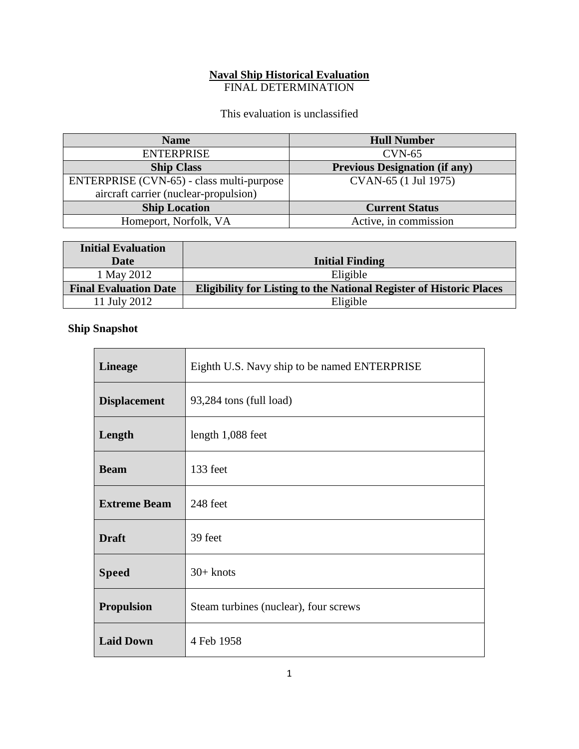### **Naval Ship Historical Evaluation** FINAL DETERMINATION

This evaluation is unclassified

| <b>Name</b>                               | <b>Hull Number</b>                   |
|-------------------------------------------|--------------------------------------|
| <b>ENTERPRISE</b>                         | $CVM-65$                             |
| <b>Ship Class</b>                         | <b>Previous Designation (if any)</b> |
| ENTERPRISE (CVN-65) - class multi-purpose | CVAN-65 (1 Jul 1975)                 |
| aircraft carrier (nuclear-propulsion)     |                                      |
| <b>Ship Location</b>                      | <b>Current Status</b>                |
| Homeport, Norfolk, VA                     | Active, in commission                |

| <b>Initial Evaluation</b>    |                                                                            |
|------------------------------|----------------------------------------------------------------------------|
| Date                         | <b>Initial Finding</b>                                                     |
| 1 May 2012                   | Eligible                                                                   |
| <b>Final Evaluation Date</b> | <b>Eligibility for Listing to the National Register of Historic Places</b> |
| 11 July 2012                 | Eligible                                                                   |

## **Ship Snapshot**

| <b>Lineage</b>      | Eighth U.S. Navy ship to be named ENTERPRISE |  |
|---------------------|----------------------------------------------|--|
| <b>Displacement</b> | 93,284 tons (full load)                      |  |
| Length              | length 1,088 feet                            |  |
| <b>Beam</b>         | 133 feet                                     |  |
| <b>Extreme Beam</b> | 248 feet                                     |  |
| <b>Draft</b>        | 39 feet                                      |  |
| <b>Speed</b>        | $30+$ knots                                  |  |
| <b>Propulsion</b>   | Steam turbines (nuclear), four screws        |  |
| <b>Laid Down</b>    | 4 Feb 1958                                   |  |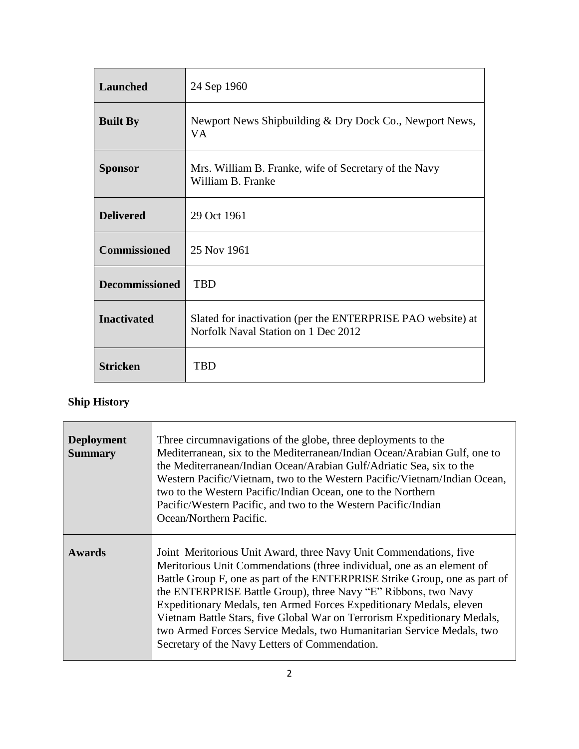| <b>Launched</b>       | 24 Sep 1960                                                                                        |
|-----------------------|----------------------------------------------------------------------------------------------------|
| <b>Built By</b>       | Newport News Shipbuilding & Dry Dock Co., Newport News,<br><b>VA</b>                               |
| <b>Sponsor</b>        | Mrs. William B. Franke, wife of Secretary of the Navy<br>William B. Franke                         |
| <b>Delivered</b>      | 29 Oct 1961                                                                                        |
| <b>Commissioned</b>   | 25 Nov 1961                                                                                        |
| <b>Decommissioned</b> | <b>TBD</b>                                                                                         |
| <b>Inactivated</b>    | Slated for inactivation (per the ENTERPRISE PAO website) at<br>Norfolk Naval Station on 1 Dec 2012 |
| Stricken              | TBD                                                                                                |

# **Ship History**

 $\mathbf{I}$ 

| <b>Deployment</b><br><b>Summary</b> | Three circumnavigations of the globe, three deployments to the<br>Mediterranean, six to the Mediterranean/Indian Ocean/Arabian Gulf, one to<br>the Mediterranean/Indian Ocean/Arabian Gulf/Adriatic Sea, six to the<br>Western Pacific/Vietnam, two to the Western Pacific/Vietnam/Indian Ocean,<br>two to the Western Pacific/Indian Ocean, one to the Northern<br>Pacific/Western Pacific, and two to the Western Pacific/Indian<br>Ocean/Northern Pacific.                                                                                                             |
|-------------------------------------|---------------------------------------------------------------------------------------------------------------------------------------------------------------------------------------------------------------------------------------------------------------------------------------------------------------------------------------------------------------------------------------------------------------------------------------------------------------------------------------------------------------------------------------------------------------------------|
| <b>Awards</b>                       | Joint Meritorious Unit Award, three Navy Unit Commendations, five<br>Meritorious Unit Commendations (three individual, one as an element of<br>Battle Group F, one as part of the ENTERPRISE Strike Group, one as part of<br>the ENTERPRISE Battle Group), three Navy "E" Ribbons, two Navy<br>Expeditionary Medals, ten Armed Forces Expeditionary Medals, eleven<br>Vietnam Battle Stars, five Global War on Terrorism Expeditionary Medals,<br>two Armed Forces Service Medals, two Humanitarian Service Medals, two<br>Secretary of the Navy Letters of Commendation. |

 $\overline{\phantom{a}}$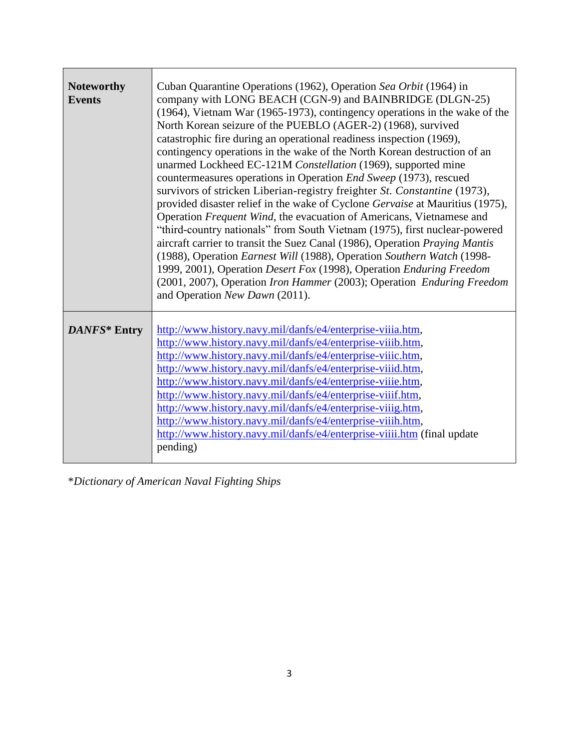| <b>Noteworthy</b><br><b>Events</b> | Cuban Quarantine Operations (1962), Operation Sea Orbit (1964) in<br>company with LONG BEACH (CGN-9) and BAINBRIDGE (DLGN-25)<br>(1964), Vietnam War (1965-1973), contingency operations in the wake of the<br>North Korean seizure of the PUEBLO (AGER-2) (1968), survived<br>catastrophic fire during an operational readiness inspection (1969),<br>contingency operations in the wake of the North Korean destruction of an<br>unarmed Lockheed EC-121M Constellation (1969), supported mine<br>countermeasures operations in Operation End Sweep (1973), rescued<br>survivors of stricken Liberian-registry freighter St. Constantine (1973),<br>provided disaster relief in the wake of Cyclone Gervaise at Mauritius (1975),<br>Operation Frequent Wind, the evacuation of Americans, Vietnamese and<br>"third-country nationals" from South Vietnam (1975), first nuclear-powered<br>aircraft carrier to transit the Suez Canal (1986), Operation Praying Mantis<br>(1988), Operation Earnest Will (1988), Operation Southern Watch (1998-<br>1999, 2001), Operation Desert Fox (1998), Operation Enduring Freedom<br>(2001, 2007), Operation Iron Hammer (2003); Operation Enduring Freedom<br>and Operation New Dawn (2011). |  |
|------------------------------------|----------------------------------------------------------------------------------------------------------------------------------------------------------------------------------------------------------------------------------------------------------------------------------------------------------------------------------------------------------------------------------------------------------------------------------------------------------------------------------------------------------------------------------------------------------------------------------------------------------------------------------------------------------------------------------------------------------------------------------------------------------------------------------------------------------------------------------------------------------------------------------------------------------------------------------------------------------------------------------------------------------------------------------------------------------------------------------------------------------------------------------------------------------------------------------------------------------------------------------------|--|
| DANFS* Entry                       | http://www.history.navy.mil/danfs/e4/enterprise-viiia.htm,<br>http://www.history.navy.mil/danfs/e4/enterprise-viiib.htm,<br>http://www.history.navy.mil/danfs/e4/enterprise-viiic.htm,<br>http://www.history.navy.mil/danfs/e4/enterprise-viiid.htm,<br>http://www.history.navy.mil/danfs/e4/enterprise-viiie.htm,<br>http://www.history.navy.mil/danfs/e4/enterprise-viiif.htm,<br>http://www.history.navy.mil/danfs/e4/enterprise-viiig.htm,<br>http://www.history.navy.mil/danfs/e4/enterprise-viiih.htm,<br>http://www.history.navy.mil/danfs/e4/enterprise-viiii.htm (final update<br>pending)                                                                                                                                                                                                                                                                                                                                                                                                                                                                                                                                                                                                                                    |  |

\**Dictionary of American Naval Fighting Ships*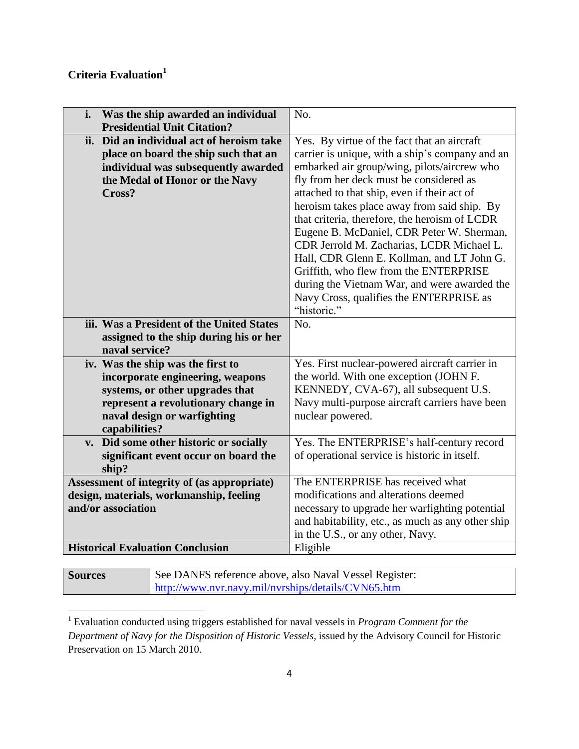# **Criteria Evaluation<sup>1</sup>**

 $\overline{a}$ 

| i. | Was the ship awarded an individual<br><b>Presidential Unit Citation?</b> | No.                                               |
|----|--------------------------------------------------------------------------|---------------------------------------------------|
|    | ii. Did an individual act of heroism take                                | Yes. By virtue of the fact that an aircraft       |
|    | place on board the ship such that an                                     | carrier is unique, with a ship's company and an   |
|    | individual was subsequently awarded                                      | embarked air group/wing, pilots/aircrew who       |
|    | the Medal of Honor or the Navy                                           | fly from her deck must be considered as           |
|    | Cross?                                                                   | attached to that ship, even if their act of       |
|    |                                                                          | heroism takes place away from said ship. By       |
|    |                                                                          | that criteria, therefore, the heroism of LCDR     |
|    |                                                                          | Eugene B. McDaniel, CDR Peter W. Sherman,         |
|    |                                                                          | CDR Jerrold M. Zacharias, LCDR Michael L.         |
|    |                                                                          | Hall, CDR Glenn E. Kollman, and LT John G.        |
|    |                                                                          | Griffith, who flew from the ENTERPRISE            |
|    |                                                                          | during the Vietnam War, and were awarded the      |
|    |                                                                          | Navy Cross, qualifies the ENTERPRISE as           |
|    |                                                                          | "historic."                                       |
|    | iii. Was a President of the United States                                | No.                                               |
|    | assigned to the ship during his or her                                   |                                                   |
|    | naval service?                                                           |                                                   |
|    | iv. Was the ship was the first to                                        | Yes. First nuclear-powered aircraft carrier in    |
|    | incorporate engineering, weapons                                         | the world. With one exception (JOHN F.            |
|    | systems, or other upgrades that                                          | KENNEDY, CVA-67), all subsequent U.S.             |
|    | represent a revolutionary change in                                      | Navy multi-purpose aircraft carriers have been    |
|    | naval design or warfighting                                              | nuclear powered.                                  |
|    | capabilities?                                                            |                                                   |
|    | v. Did some other historic or socially                                   | Yes. The ENTERPRISE's half-century record         |
|    | significant event occur on board the                                     | of operational service is historic in itself.     |
|    | ship?                                                                    |                                                   |
|    | Assessment of integrity of (as appropriate)                              | The ENTERPRISE has received what                  |
|    | design, materials, workmanship, feeling                                  | modifications and alterations deemed              |
|    | and/or association                                                       | necessary to upgrade her warfighting potential    |
|    |                                                                          | and habitability, etc., as much as any other ship |
|    |                                                                          | in the U.S., or any other, Navy.                  |
|    | <b>Historical Evaluation Conclusion</b>                                  | Eligible                                          |

**Sources** See DANFS reference above, also Naval Vessel Register: <http://www.nvr.navy.mil/nvrships/details/CVN65.htm>

<sup>1</sup> Evaluation conducted using triggers established for naval vessels in *Program Comment for the Department of Navy for the Disposition of Historic Vessels*, issued by the Advisory Council for Historic Preservation on 15 March 2010.